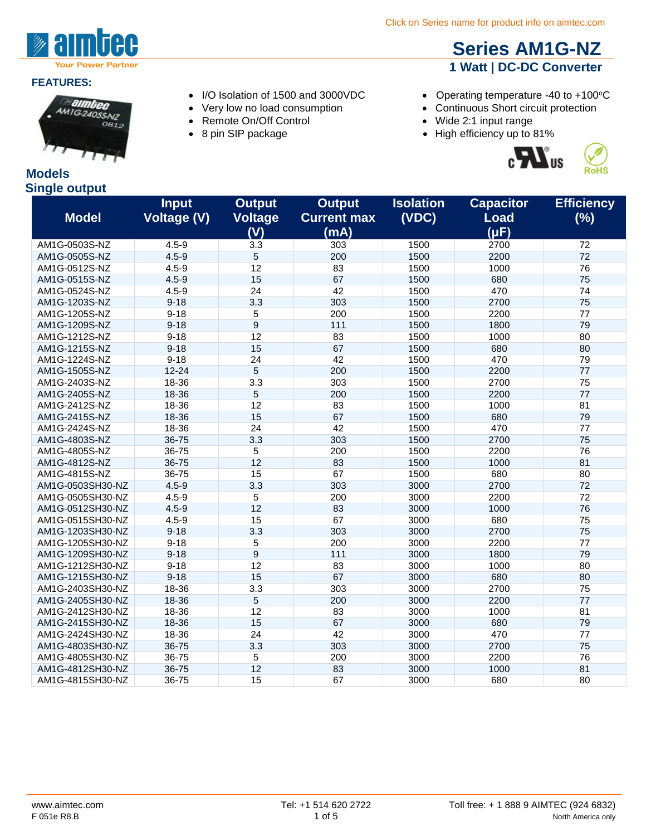

#### **FEATURES:**



#### **Models Single output**

- 
- 
- Remote On/Off Control Wide 2:1 input range
- 
- **[Series AM1G-NZ](http://www.aimtec.com/am1g-nz) 1 Watt | DC-DC Converter**
- I/O Isolation of 1500 and 3000VDC Operating temperature -40 to +100°C
- Very low no load consumption Continuous Short circuit protection
	-
- 8 pin SIP package **•** High efficiency up to 81%





| sıngıc output    |                                    |                                        |                                             |                           |                                              |                          |
|------------------|------------------------------------|----------------------------------------|---------------------------------------------|---------------------------|----------------------------------------------|--------------------------|
| <b>Model</b>     | <b>Input</b><br><b>Voltage (V)</b> | <b>Output</b><br><b>Voltage</b><br>(V) | <b>Output</b><br><b>Current max</b><br>(mA) | <b>Isolation</b><br>(VDC) | <b>Capacitor</b><br><b>Load</b><br>$(\mu F)$ | <b>Efficiency</b><br>(%) |
| AM1G-0503S-NZ    | $4.5 - 9$                          | 3.3                                    | 303                                         | 1500                      | 2700                                         | 72                       |
| AM1G-0505S-NZ    | $4.5 - 9$                          | 5                                      | 200                                         | 1500                      | 2200                                         | 72                       |
| AM1G-0512S-NZ    | $4.5 - 9$                          | 12                                     | 83                                          | 1500                      | 1000                                         | 76                       |
| AM1G-0515S-NZ    | $4.5 - 9$                          | 15                                     | 67                                          | 1500                      | 680                                          | 75                       |
| AM1G-0524S-NZ    | $4.5 - 9$                          | 24                                     | 42                                          | 1500                      | 470                                          | 74                       |
| AM1G-1203S-NZ    | $9 - 18$                           | 3.3                                    | 303                                         | 1500                      | 2700                                         | 75                       |
| AM1G-1205S-NZ    | $9 - 18$                           | 5                                      | 200                                         | 1500                      | 2200                                         | 77                       |
| AM1G-1209S-NZ    | $9 - 18$                           | 9                                      | 111                                         | 1500                      | 1800                                         | 79                       |
| AM1G-1212S-NZ    | $9 - 18$                           | 12                                     | 83                                          | 1500                      | 1000                                         | 80                       |
| AM1G-1215S-NZ    | $9 - 18$                           | 15                                     | 67                                          | 1500                      | 680                                          | 80                       |
| AM1G-1224S-NZ    | $9 - 18$                           | 24                                     | 42                                          | 1500                      | 470                                          | 79                       |
| AM1G-1505S-NZ    | $12 - 24$                          | 5                                      | 200                                         | 1500                      | 2200                                         | 77                       |
| AM1G-2403S-NZ    | 18-36                              | 3.3                                    | 303                                         | 1500                      | 2700                                         | 75                       |
| AM1G-2405S-NZ    | 18-36                              | 5                                      | 200                                         | 1500                      | 2200                                         | 77                       |
| AM1G-2412S-NZ    | 18-36                              | 12                                     | 83                                          | 1500                      | 1000                                         | 81                       |
| AM1G-2415S-NZ    | 18-36                              | 15                                     | 67                                          | 1500                      | 680                                          | 79                       |
| AM1G-2424S-NZ    | 18-36                              | 24                                     | 42                                          | 1500                      | 470                                          | 77                       |
| AM1G-4803S-NZ    | 36-75                              | 3.3                                    | 303                                         | 1500                      | 2700                                         | 75                       |
| AM1G-4805S-NZ    | 36-75                              | 5                                      | 200                                         | 1500                      | 2200                                         | 76                       |
| AM1G-4812S-NZ    | 36-75                              | 12                                     | 83                                          | 1500                      | 1000                                         | 81                       |
| AM1G-4815S-NZ    | 36-75                              | 15                                     | 67                                          | 1500                      | 680                                          | 80                       |
| AM1G-0503SH30-NZ | $4.5 - 9$                          | 3.3                                    | 303                                         | 3000                      | 2700                                         | 72                       |
| AM1G-0505SH30-NZ | $4.5 - 9$                          | $\sqrt{5}$                             | 200                                         | 3000                      | 2200                                         | 72                       |
| AM1G-0512SH30-NZ | $4.5 - 9$                          | 12                                     | 83                                          | 3000                      | 1000                                         | 76                       |
| AM1G-0515SH30-NZ | $4.5 - 9$                          | 15                                     | 67                                          | 3000                      | 680                                          | 75                       |
| AM1G-1203SH30-NZ | $9 - 18$                           | 3.3                                    | 303                                         | 3000                      | 2700                                         | 75                       |
| AM1G-1205SH30-NZ | $9 - 18$                           | 5                                      | 200                                         | 3000                      | 2200                                         | 77                       |
| AM1G-1209SH30-NZ | $9 - 18$                           | $9\,$                                  | 111                                         | 3000                      | 1800                                         | 79                       |
| AM1G-1212SH30-NZ | $9 - 18$                           | 12                                     | 83                                          | 3000                      | 1000                                         | 80                       |
| AM1G-1215SH30-NZ | $9 - 18$                           | 15                                     | 67                                          | 3000                      | 680                                          | 80                       |
| AM1G-2403SH30-NZ | 18-36                              | 3.3                                    | 303                                         | 3000                      | 2700                                         | 75                       |
| AM1G-2405SH30-NZ | 18-36                              | $\overline{5}$                         | 200                                         | 3000                      | 2200                                         | 77                       |
| AM1G-2412SH30-NZ | 18-36                              | 12                                     | 83                                          | 3000                      | 1000                                         | 81                       |
| AM1G-2415SH30-NZ | 18-36                              | 15                                     | 67                                          | 3000                      | 680                                          | 79                       |
| AM1G-2424SH30-NZ | 18-36                              | 24                                     | 42                                          | 3000                      | 470                                          | 77                       |
| AM1G-4803SH30-NZ | 36-75                              | 3.3                                    | 303                                         | 3000                      | 2700                                         | 75                       |
| AM1G-4805SH30-NZ | 36-75                              | 5                                      | 200                                         | 3000                      | 2200                                         | 76                       |
| AM1G-4812SH30-NZ | 36-75                              | 12                                     | 83                                          | 3000                      | 1000                                         | 81                       |
| AM1G-4815SH30-NZ | 36-75                              | 15                                     | 67                                          | 3000                      | 680                                          | 80                       |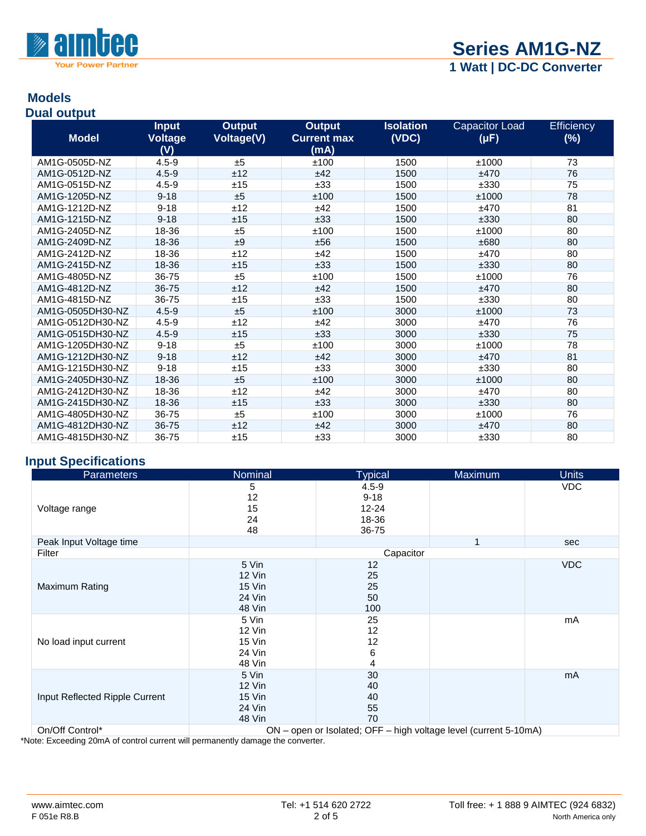

#### **Models Dual output**

|                  | <b>Input</b>   | <b>Output</b> | <b>Output</b>      | <b>Isolation</b> | <b>Capacitor Load</b> | <b>Efficiency</b> |
|------------------|----------------|---------------|--------------------|------------------|-----------------------|-------------------|
| <b>Model</b>     | <b>Voltage</b> | Voltage(V)    | <b>Current max</b> | (VDC)            | $(\mu F)$             | $(\%)$            |
|                  | (V)            |               | (mA)               |                  |                       |                   |
| AM1G-0505D-NZ    | $4.5 - 9$      | ±5            | ±100               | 1500             | ±1000                 | 73                |
| AM1G-0512D-NZ    | $4.5 - 9$      | ±12           | ±42                | 1500             | ±470                  | 76                |
| AM1G-0515D-NZ    | $4.5 - 9$      | ±15           | ±33                | 1500             | ±330                  | 75                |
| AM1G-1205D-NZ    | $9 - 18$       | ±5            | ±100               | 1500             | ±1000                 | 78                |
| AM1G-1212D-NZ    | $9 - 18$       | ±12           | ±42                | 1500             | ±470                  | 81                |
| AM1G-1215D-NZ    | $9 - 18$       | ±15           | ±33                | 1500             | ±330                  | 80                |
| AM1G-2405D-NZ    | 18-36          | ±5            | ±100               | 1500             | ±1000                 | 80                |
| AM1G-2409D-NZ    | 18-36          | ±9            | ±56                | 1500             | ±680                  | 80                |
| AM1G-2412D-NZ    | 18-36          | ±12           | ±42                | 1500             | ±470                  | 80                |
| AM1G-2415D-NZ    | 18-36          | ±15           | ±33                | 1500             | ±330                  | 80                |
| AM1G-4805D-NZ    | 36-75          | ±5            | ±100               | 1500             | ±1000                 | 76                |
| AM1G-4812D-NZ    | 36-75          | ±12           | ±42                | 1500             | ±470                  | 80                |
| AM1G-4815D-NZ    | 36-75          | ±15           | ±33                | 1500             | ±330                  | 80                |
| AM1G-0505DH30-NZ | $4.5 - 9$      | ±5            | ±100               | 3000             | ±1000                 | 73                |
| AM1G-0512DH30-NZ | $4.5 - 9$      | ±12           | ±42                | 3000             | ±470                  | 76                |
| AM1G-0515DH30-NZ | $4.5 - 9$      | ±15           | ±33                | 3000             | ±330                  | 75                |
| AM1G-1205DH30-NZ | $9 - 18$       | ±5            | ±100               | 3000             | ±1000                 | 78                |
| AM1G-1212DH30-NZ | $9 - 18$       | ±12           | ±42                | 3000             | ±470                  | 81                |
| AM1G-1215DH30-NZ | $9 - 18$       | ±15           | ±33                | 3000             | ±330                  | 80                |
| AM1G-2405DH30-NZ | 18-36          | ±5            | ±100               | 3000             | ±1000                 | 80                |
| AM1G-2412DH30-NZ | 18-36          | ±12           | ±42                | 3000             | ±470                  | 80                |
| AM1G-2415DH30-NZ | 18-36          | ±15           | ±33                | 3000             | ±330                  | 80                |
| AM1G-4805DH30-NZ | 36-75          | ±5            | ±100               | 3000             | ±1000                 | 76                |
| AM1G-4812DH30-NZ | 36-75          | ±12           | ±42                | 3000             | ±470                  | 80                |
| AM1G-4815DH30-NZ | 36-75          | ±15           | ±33                | 3000             | ±330                  | 80                |

# **Input Specifications**

| <b>Parameters</b>                                   | Nominal                                                                                                                                                            | <b>Typical</b>                                       | Maximum                                 | <b>Units</b> |  |
|-----------------------------------------------------|--------------------------------------------------------------------------------------------------------------------------------------------------------------------|------------------------------------------------------|-----------------------------------------|--------------|--|
| Voltage range                                       | 5<br>12<br>15<br>24<br>48                                                                                                                                          | $4.5 - 9$<br>$9 - 18$<br>$12 - 24$<br>18-36<br>36-75 |                                         | <b>VDC</b>   |  |
| Peak Input Voltage time                             |                                                                                                                                                                    |                                                      | 1                                       | sec          |  |
| Filter                                              | Capacitor<br>5 Vin<br>12<br>25<br>$12$ Vin<br>15 Vin<br>25<br><b>24 Vin</b><br>50<br>48 Vin<br>100<br>5 Vin<br>25<br>12<br>$12$ Vin<br>15 Vin<br>12<br>24 Vin<br>6 |                                                      |                                         |              |  |
| Maximum Rating                                      |                                                                                                                                                                    |                                                      |                                         | <b>VDC</b>   |  |
| No load input current                               | 48 Vin                                                                                                                                                             | 4                                                    |                                         | mA           |  |
| Input Reflected Ripple Current<br>$On/Off$ Control* | 5 Vin<br>12 Vin<br>15 Vin<br>24 Vin<br>48 Vin<br>$\bigcap_{\mathsf{N}}$                                                                                            | 30<br>40<br>40<br>55<br>70<br>onon or loolotod: OEE  | $high$ voltage love (ourrant $E(10m)$ ) | mA           |  |

On/Off Control\* ON – open or Isolated; OFF – high voltage level (current 5-10mA)

\*Note: Exceeding 20mA of control current will permanently damage the converter.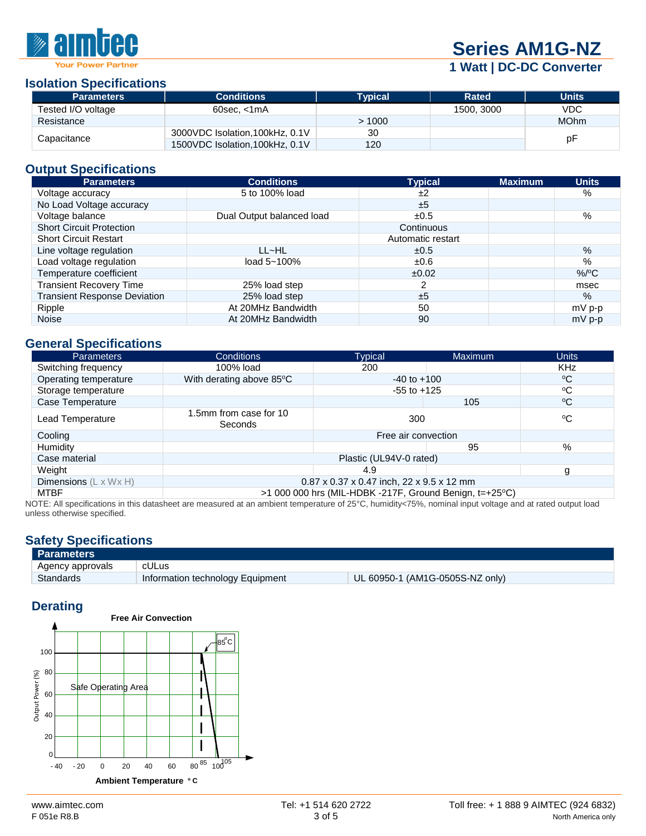# W PA

# **[Series AM1G-NZ](http://www.aimtec.com/am1g-nz)**

**1 Watt | DC-DC Converter**

#### **Isolation Specifications**

| <b>Parameters</b>  | <b>Conditions</b>               | <b>Typical</b> | <b>Rated</b> | <b>Units</b> |
|--------------------|---------------------------------|----------------|--------------|--------------|
| Tested I/O voltage | $60$ sec. $\leq 1$ mA           |                | 1500, 3000   | <b>VDC</b>   |
| Resistance         |                                 | >1000          |              | <b>MOhm</b>  |
| Capacitance        | 3000VDC Isolation, 100kHz, 0.1V | 30             |              |              |
|                    | 1500VDC Isolation, 100kHz, 0.1V | 120            |              | рF           |

# **Output Specifications**

| <b>Parameters</b>                   | <b>Conditions</b>         | <b>Typical</b>    | <b>Maximum</b> | <b>Units</b>  |
|-------------------------------------|---------------------------|-------------------|----------------|---------------|
| Voltage accuracy                    | 5 to 100% load            | ±2                |                | $\%$          |
| No Load Voltage accuracy            |                           | ±5                |                |               |
| Voltage balance                     | Dual Output balanced load | ±0.5              |                | $\%$          |
| <b>Short Circuit Protection</b>     |                           | Continuous        |                |               |
| <b>Short Circuit Restart</b>        |                           | Automatic restart |                |               |
| Line voltage regulation             | LL~HL                     | ±0.5              |                | $\frac{9}{6}$ |
| Load voltage regulation             | load $5 - 100\%$          | $\pm 0.6$         |                | %             |
| Temperature coefficient             |                           | ±0.02             |                | $%$ /°C       |
| <b>Transient Recovery Time</b>      | 25% load step             |                   |                | msec          |
| <b>Transient Response Deviation</b> | 25% load step             | ±5                |                | $\%$          |
| Ripple                              | At 20MHz Bandwidth        | 50                |                | $mV$ p-p      |
| <b>Noise</b>                        | At 20MHz Bandwidth        | 90                |                | $mV$ p-p      |

#### **General Specifications**

| <b>Parameters</b>                  | <b>Conditions</b>                 | <b>Typical</b>                                          | <b>Maximum</b> | <b>Units</b> |
|------------------------------------|-----------------------------------|---------------------------------------------------------|----------------|--------------|
| Switching frequency                | 100% load                         | 200                                                     |                | <b>KHz</b>   |
| Operating temperature              | With derating above 85°C          | $-40$ to $+100$                                         |                | ∘c           |
| Storage temperature                |                                   | $-55$ to $+125$                                         |                | °C           |
| Case Temperature                   |                                   |                                                         | 105            | $\rm ^{o}C$  |
| Lead Temperature                   | 1.5mm from case for 10<br>Seconds | 300                                                     |                | °C           |
| Cooling                            |                                   | Free air convection                                     |                |              |
| Humidity                           |                                   |                                                         | 95             | %            |
| Case material                      |                                   | Plastic (UL94V-0 rated)                                 |                |              |
| Weight                             |                                   | 4.9                                                     |                | g            |
| Dimensions $(L \times W \times H)$ |                                   | $0.87 \times 0.37 \times 0.47$ inch, 22 x 9.5 x 12 mm   |                |              |
| MTBF                               |                                   | >1 000 000 hrs (MIL-HDBK -217F, Ground Benign, t=+25°C) |                |              |

NOTE: All specifications in this datasheet are measured at an ambient temperature of 25°C, humidity<75%, nominal input voltage and at rated output load unless otherwise specified.

# **Safety Specifications**

| <b>Parameters</b> |                                  |                                 |
|-------------------|----------------------------------|---------------------------------|
| Agency approvals  | cULus                            |                                 |
| Standards         | Information technology Equipment | UL 60950-1 (AM1G-0505S-NZ only) |

### **Derating**

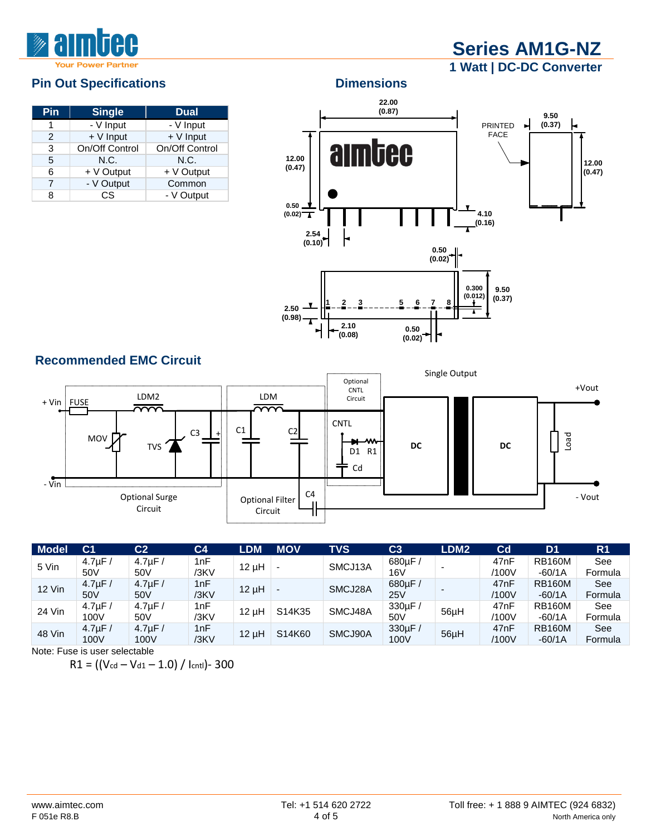# **[Series AM1G-NZ](http://www.aimtec.com/am1g-nz) 1 Watt | DC-DC Converter**

| Pin | <b>Single</b>  | <b>Dual</b>    |
|-----|----------------|----------------|
| 1   | - V Input      | - V Input      |
| 2   | + V Input      | $+V$ Input     |
| 3   | On/Off Control | On/Off Control |
| 5   | N.C.           | N.C.           |
| 6   | + V Output     | + V Output     |
| 7   | - V Output     | Common         |
| 8   | СS             | - V Output     |



**(0.02)**

חו

### **Recommended EMC Circuit**



| Model         | C <sub>1</sub>  | $\overline{\text{C2}}$ | C4   | <b>LDM</b> | <b>MOV</b> | TVS     | C3              | LDM <sub>2</sub> | Cd               | D <sub>1</sub> | R <sub>1</sub> |
|---------------|-----------------|------------------------|------|------------|------------|---------|-----------------|------------------|------------------|----------------|----------------|
| 5 Vin         | $4.7 \mu F$     | $4.7 \mu F$            | 1nF  | $12 \mu H$ |            | SMCJ13A | 680µF/          |                  | 47nF             | <b>RB160M</b>  | See            |
|               | 50V             | 50V                    | /3KV |            |            |         | 16 <sub>V</sub> |                  | /100V            | $-60/1A$       | Formula        |
| <b>12 Vin</b> | $4.7 \mu F$     | $4.7 \mu F$            | 1nF  |            |            | SMCJ28A | 680µF/          |                  | 47 <sub>nF</sub> | <b>RB160M</b>  | See            |
|               | 50 <sub>V</sub> | 50 <sub>V</sub>        | /3KV | $12 \mu H$ |            |         | 25V             |                  | /100V            | $-60/1A$       | Formula        |
| 24 Vin        | $4.7 \text{uF}$ | $4.7 \mu F$            | 1nF  |            | S14K35     | SMCJ48A | 330µF/          |                  | 47nF             | <b>RB160M</b>  | See            |
|               | 100V            | 50V                    | /3KV | $12 \mu H$ |            |         | 50V             | 56µH             | /100V            | $-60/1A$       | Formula        |
| 48 Vin        | $4.7 \text{uF}$ | $4.7 \mu F$            | 1nF  |            | S14K60     |         | 330µF/          |                  | 47 <sub>nF</sub> | <b>RB160M</b>  | See            |
|               | 100V            | 100V                   | /3KV | $12 \mu H$ |            | SMCJ90A | 100V            | 56µH             | /100V            | $-60/1A$       | Formula        |

Note: Fuse is user selectable

 $R1 = ((V_{cd} - V_{d1} - 1.0) / I_{cnt}) - 300$